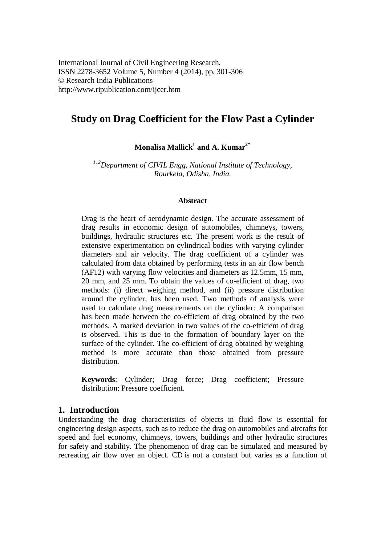# **Study on Drag Coefficient for the Flow Past a Cylinder**

**Monalisa Mallick<sup>1</sup> and A. Kumar2\***

*1, <sup>2</sup>Department of CIVIL Engg, National Institute of Technology, Rourkela, Odisha, India.*

#### **Abstract**

Drag is the heart of aerodynamic design. The accurate assessment of drag results in economic design of automobiles, chimneys, towers, buildings, hydraulic structures etc. The present work is the result of extensive experimentation on cylindrical bodies with varying cylinder diameters and air velocity. The drag coefficient of a cylinder was calculated from data obtained by performing tests in an air flow bench (AF12) with varying flow velocities and diameters as 12.5mm, 15 mm, 20 mm, and 25 mm. To obtain the values of co-efficient of drag, two methods: (i) direct weighing method, and (ii) pressure distribution around the cylinder, has been used. Two methods of analysis were used to calculate drag measurements on the cylinder: A comparison has been made between the co-efficient of drag obtained by the two methods. A marked deviation in two values of the co-efficient of drag is observed. This is due to the formation of boundary layer on the surface of the cylinder. The co-efficient of drag obtained by weighing method is more accurate than those obtained from pressure distribution.

**Keywords**: Cylinder; Drag force; Drag coefficient; Pressure distribution; Pressure coefficient.

## **1. Introduction**

Understanding the drag characteristics of objects in fluid flow is essential for engineering design aspects, such as to reduce the drag on automobiles and aircrafts for speed and fuel economy, chimneys, towers, buildings and other hydraulic structures for safety and stability. The phenomenon of drag can be simulated and measured by recreating air flow over an object. CD is not a constant but varies as a function of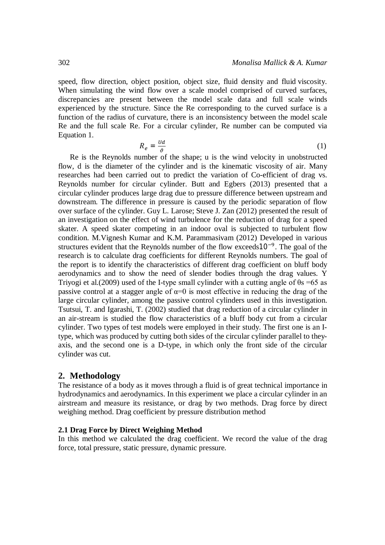speed, flow direction, object position, object size, fluid density and fluid viscosity. When simulating the wind flow over a scale model comprised of curved surfaces, discrepancies are present between the model scale data and full scale winds experienced by the structure. Since the Re corresponding to the curved surface is a function of the radius of curvature, there is an inconsistency between the model scale Re and the full scale Re. For a circular cylinder, Re number can be computed via Equation 1.

$$
R_e = \frac{Ud}{\vartheta} \tag{1}
$$

Re is the Reynolds number of the shape; u is the wind velocity in unobstructed flow, d is the diameter of the cylinder and is the kinematic viscosity of air. Many researches had been carried out to predict the variation of Co-efficient of drag vs. Reynolds number for circular cylinder. Butt and Egbers (2013) presented that a circular cylinder produces large drag due to pressure difference between upstream and downstream. The difference in pressure is caused by the periodic separation of flow over surface of the cylinder. Guy L. Larose; Steve J. Zan (2012) presented the result of an investigation on the effect of wind turbulence for the reduction of drag for a speed skater. A speed skater competing in an indoor oval is subjected to turbulent flow condition. M.Vignesh Kumar and K.M. Parammasivam (2012) Developed in various structures evident that the Reynolds number of the flow exceeds  $10^{-9}$ . The goal of the research is to calculate drag coefficients for different Reynolds numbers. The goal of the report is to identify the characteristics of different drag coefficient on bluff body aerodynamics and to show the need of slender bodies through the drag values. Y Triyogi et al.(2009) used of the I-type small cylinder with a cutting angle of  $\theta$ s =65 as passive control at a stagger angle of  $\alpha=0$  is most effective in reducing the drag of the large circular cylinder, among the passive control cylinders used in this investigation. Tsutsui, T. and Igarashi, T. (2002) studied that drag reduction of a circular cylinder in an air-stream is studied the flow characteristics of a bluff body cut from a circular cylinder. Two types of test models were employed in their study. The first one is an Itype, which was produced by cutting both sides of the circular cylinder parallel to theyaxis, and the second one is a D-type, in which only the front side of the circular cylinder was cut.

#### **2. Methodology**

The resistance of a body as it moves through a fluid is of great technical importance in hydrodynamics and aerodynamics. In this experiment we place a circular cylinder in an airstream and measure its resistance, or drag by two methods. Drag force by direct weighing method. Drag coefficient by pressure distribution method

#### **2.1 Drag Force by Direct Weighing Method**

In this method we calculated the drag coefficient. We record the value of the drag force, total pressure, static pressure, dynamic pressure.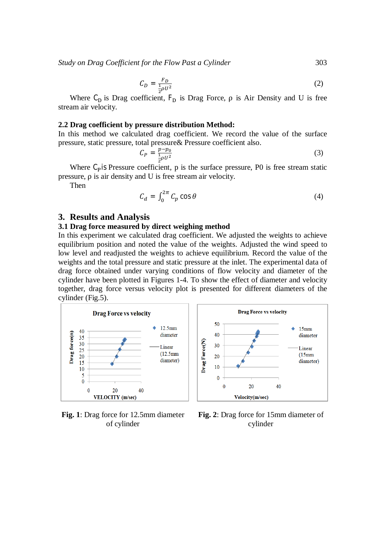*Study on Drag Coefficient for the Flow Past a Cylinder* 303

$$
C_D = \frac{F_D}{\frac{1}{2}\rho U^2} \tag{2}
$$

Where  $C_D$  is Drag coefficient,  $F_D$  is Drag Force,  $\rho$  is Air Density and U is free stream air velocity.

#### **2.2 Drag coefficient by pressure distribution Method:**

In this method we calculated drag coefficient. We record the value of the surface pressure, static pressure, total pressure& Pressure coefficient also.

$$
C_P = \frac{p - p_0}{\frac{1}{2}\rho U^2} \tag{3}
$$

Where C<sub>p</sub> is Pressure coefficient, p is the surface pressure, P0 is free stream static pressure, ρ is air density and U is free stream air velocity.

Then

$$
C_d = \int_0^{2\pi} C_p \cos \theta \tag{4}
$$

#### **3. Results and Analysis**

#### **3.1 Drag force measured by direct weighing method**

In this experiment we calculated drag coefficient. We adjusted the weights to achieve equilibrium position and noted the value of the weights. Adjusted the wind speed to low level and readjusted the weights to achieve equilibrium. Record the value of the weights and the total pressure and static pressure at the inlet. The experimental data of drag force obtained under varying conditions of flow velocity and diameter of the cylinder have been plotted in Figures 1-4. To show the effect of diameter and velocity together, drag force versus velocity plot is presented for different diameters of the cylinder (Fig.5).



**Fig. 1**: Drag force for 12.5mm diameter of cylinder



**Fig. 2**: Drag force for 15mm diameter of cylinder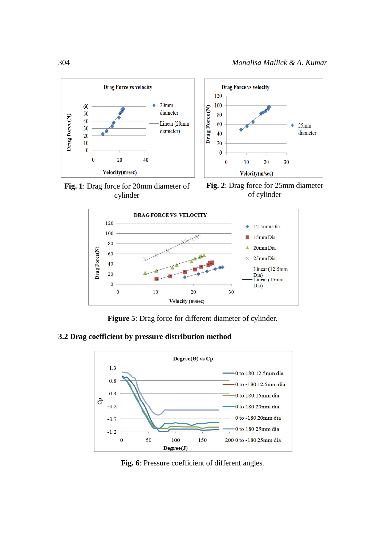

**Fig. 1**: Drag force for 20mm diameter of cylinder

**Fig. 2**: Drag force for 25mm diameter of cylinder



**Figure 5**: Drag force for different diameter of cylinder.

## **3.2 Drag coefficient by pressure distribution method**



**Fig. 6**: Pressure coefficient of different angles.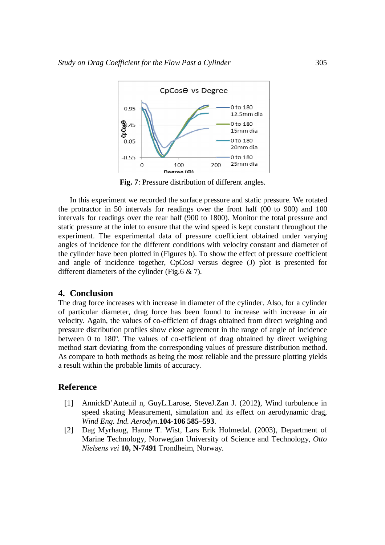

**Fig. 7**: Pressure distribution of different angles.

In this experiment we recorded the surface pressure and static pressure. We rotated the protractor in 50 intervals for readings over the front half (00 to 900) and 100 intervals for readings over the rear half (900 to 1800). Monitor the total pressure and static pressure at the inlet to ensure that the wind speed is kept constant throughout the experiment. The experimental data of pressure coefficient obtained under varying angles of incidence for the different conditions with velocity constant and diameter of the cylinder have been plotted in (Figures b). To show the effect of pressure coefficient and angle of incidence together, CpCosJ versus degree (J) plot is presented for different diameters of the cylinder (Fig.6 & 7).

## **4. Conclusion**

The drag force increases with increase in diameter of the cylinder. Also, for a cylinder of particular diameter, drag force has been found to increase with increase in air velocity. Again, the values of co-efficient of drags obtained from direct weighing and pressure distribution profiles show close agreement in the range of angle of incidence between 0 to 180º. The values of co-efficient of drag obtained by direct weighing method start deviating from the corresponding values of pressure distribution method. As compare to both methods as being the most reliable and the pressure plotting yields a result within the probable limits of accuracy.

## **Reference**

- [1] AnnickD'Auteuil n, GuyL.Larose, SteveJ.Zan J. (2012**)**, Wind turbulence in speed skating Measurement, simulation and its effect on aerodynamic drag, *Wind Eng. Ind. Aerodyn*.**104-106 585–593**.
- [2] Dag Myrhaug, Hanne T. Wist, Lars Erik Holmedal. (2003), Department of Marine Technology, Norwegian University of Science and Technology, *Otto Nielsens vei* **10, N-7491** Trondheim, Norway.